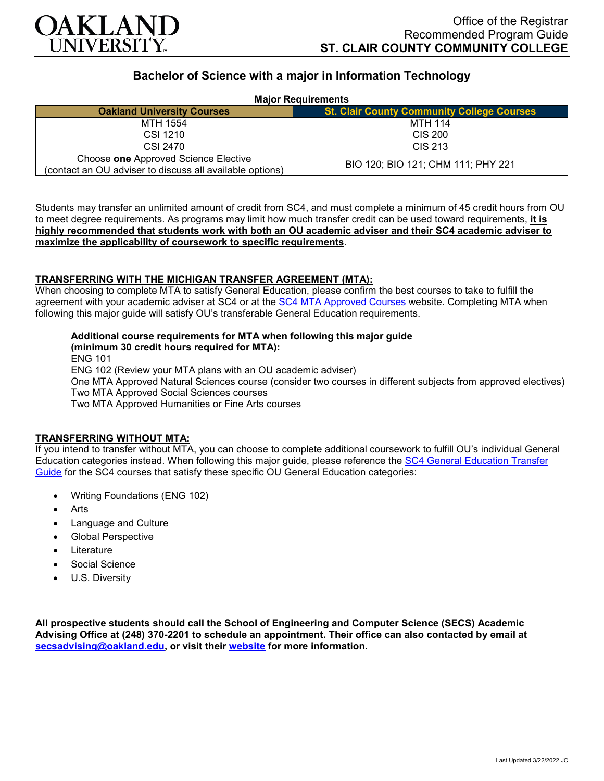

# **Bachelor of Science with a major in Information Technology**

| <b>Major Requirements</b>                                                                        |                                                   |
|--------------------------------------------------------------------------------------------------|---------------------------------------------------|
| <b>Oakland University Courses</b>                                                                | <b>St. Clair County Community College Courses</b> |
| MTH 1554                                                                                         | MTH 114                                           |
| CSI 1210                                                                                         | CIS 200                                           |
| CSI 2470                                                                                         | CIS 213                                           |
| Choose one Approved Science Elective<br>(contact an OU adviser to discuss all available options) | BIO 120; BIO 121; CHM 111; PHY 221                |

Students may transfer an unlimited amount of credit from SC4, and must complete a minimum of 45 credit hours from OU to meet degree requirements. As programs may limit how much transfer credit can be used toward requirements, **it is highly recommended that students work with both an OU academic adviser and their SC4 academic adviser to maximize the applicability of coursework to specific requirements**.

# **TRANSFERRING WITH THE MICHIGAN TRANSFER AGREEMENT (MTA):**

When choosing to complete MTA to satisfy General Education, please confirm the best courses to take to fulfill the agreement with your academic adviser at SC4 or at the [SC4 MTA Approved Courses](https://sc4.edu/admissions/transferring-after-sc4/michigan-transfer-agreement/) website. Completing MTA when following this major guide will satisfy OU's transferable General Education requirements.

# **Additional course requirements for MTA when following this major guide**

**(minimum 30 credit hours required for MTA):**

ENG 101

ENG 102 (Review your MTA plans with an OU academic adviser)

One MTA Approved Natural Sciences course (consider two courses in different subjects from approved electives) Two MTA Approved Social Sciences courses

Two MTA Approved Humanities or Fine Arts courses

#### **TRANSFERRING WITHOUT MTA:**

If you intend to transfer without MTA, you can choose to complete additional coursework to fulfill OU's individual General Education categories instead. When following this major guide, please reference the [SC4 General Education Transfer](https://www.oakland.edu/Assets/Oakland/program-guides/st-clair-county-community-college/university-general-education-requirements/SC4%20Gen%20Ed.pdf)  [Guide](https://www.oakland.edu/Assets/Oakland/program-guides/st-clair-county-community-college/university-general-education-requirements/SC4%20Gen%20Ed.pdf) for the SC4 courses that satisfy these specific OU General Education categories:

- Writing Foundations (ENG 102)
- **Arts**
- Language and Culture
- Global Perspective
- **Literature**
- Social Science
- U.S. Diversity

**All prospective students should call the School of Engineering and Computer Science (SECS) Academic Advising Office at (248) 370-2201 to schedule an appointment. Their office can also contacted by email at [secsadvising@oakland.edu,](mailto:secsadvising@oakland.edu) or visit their [website](https://wwwp.oakland.edu/secs/advising/) for more information.**